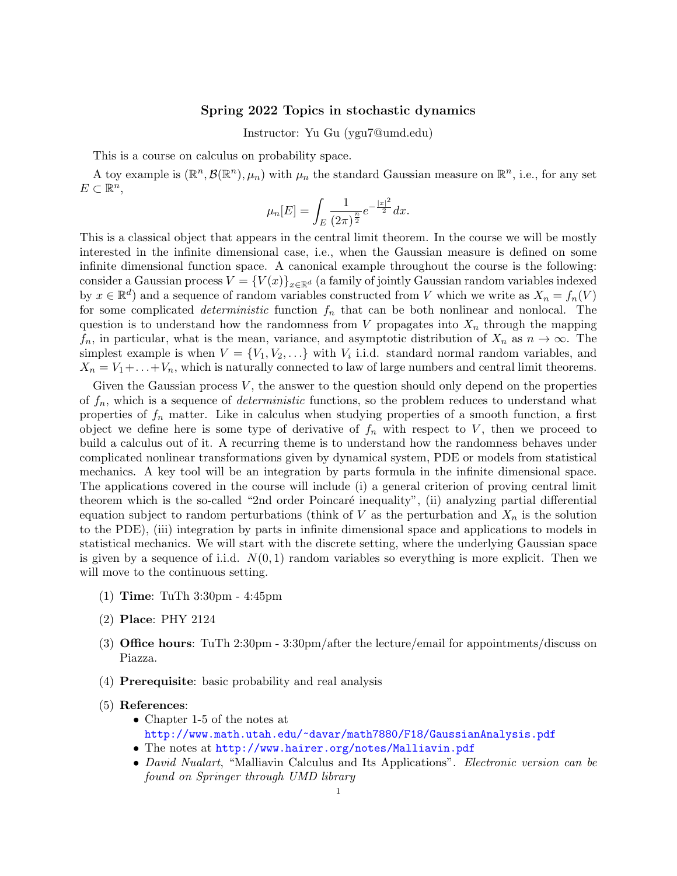## Spring 2022 Topics in stochastic dynamics

Instructor: Yu Gu (ygu7@umd.edu)

This is a course on calculus on probability space.

A toy example is  $(\mathbb{R}^n, \mathcal{B}(\mathbb{R}^n), \mu_n)$  with  $\mu_n$  the standard Gaussian measure on  $\mathbb{R}^n$ , i.e., for any set  $E \subset \mathbb{R}^n$ ,

$$
\mu_n[E] = \int_E \frac{1}{(2\pi)^{\frac{n}{2}}} e^{-\frac{|x|^2}{2}} dx.
$$

This is a classical object that appears in the central limit theorem. In the course we will be mostly interested in the infinite dimensional case, i.e., when the Gaussian measure is defined on some infinite dimensional function space. A canonical example throughout the course is the following: consider a Gaussian process  $V = \{V(x)\}_{x\in\mathbb{R}^d}$  (a family of jointly Gaussian random variables indexed by  $x \in \mathbb{R}^d$  and a sequence of random variables constructed from V which we write as  $X_n = f_n(V)$ for some complicated *deterministic* function  $f_n$  that can be both nonlinear and nonlocal. The question is to understand how the randomness from V propagates into  $X_n$  through the mapping  $f_n$ , in particular, what is the mean, variance, and asymptotic distribution of  $X_n$  as  $n \to \infty$ . The simplest example is when  $V = \{V_1, V_2, \ldots\}$  with  $V_i$  i.i.d. standard normal random variables, and  $X_n = V_1 + \ldots + V_n$ , which is naturally connected to law of large numbers and central limit theorems.

Given the Gaussian process  $V$ , the answer to the question should only depend on the properties of  $f_n$ , which is a sequence of *deterministic* functions, so the problem reduces to understand what properties of  $f_n$  matter. Like in calculus when studying properties of a smooth function, a first object we define here is some type of derivative of  $f_n$  with respect to V, then we proceed to build a calculus out of it. A recurring theme is to understand how the randomness behaves under complicated nonlinear transformations given by dynamical system, PDE or models from statistical mechanics. A key tool will be an integration by parts formula in the infinite dimensional space. The applications covered in the course will include (i) a general criterion of proving central limit theorem which is the so-called "2nd order Poincaré inequality", (ii) analyzing partial differential equation subject to random perturbations (think of  $V$  as the perturbation and  $X_n$  is the solution to the PDE), (iii) integration by parts in infinite dimensional space and applications to models in statistical mechanics. We will start with the discrete setting, where the underlying Gaussian space is given by a sequence of i.i.d.  $N(0, 1)$  random variables so everything is more explicit. Then we will move to the continuous setting.

- (1) Time: TuTh 3:30pm 4:45pm
- (2) Place: PHY 2124
- (3) Office hours: TuTh 2:30pm 3:30pm/after the lecture/email for appointments/discuss on Piazza.
- (4) Prerequisite: basic probability and real analysis
- (5) References:
	- Chapter 1-5 of the notes at <http://www.math.utah.edu/~davar/math7880/F18/GaussianAnalysis.pdf>
	- The notes at <http://www.hairer.org/notes/Malliavin.pdf>
	- David Nualart, "Malliavin Calculus and Its Applications". Electronic version can be found on Springer through UMD library